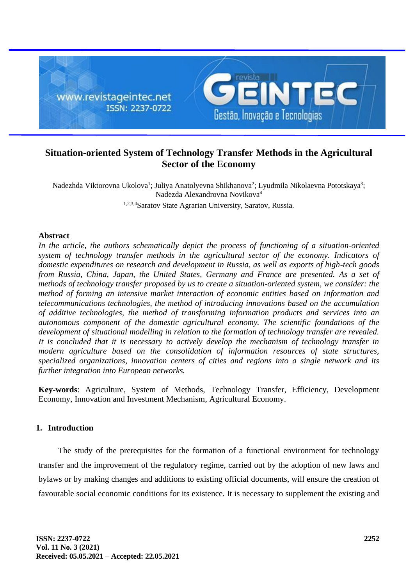

## **Situation-oriented System of Technology Transfer Methods in the Agricultural Sector of the Economy**

Nadezhda Viktorovna Ukolova<sup>1</sup>; Juliya Anatolyevna Shikhanova<sup>2</sup>; Lyudmila Nikolaevna Pototskaya<sup>3</sup>; Nadezda Alexandrovna Novikova<sup>4</sup> 1,2,3,4Saratov State Agrarian University, Saratov, Russia.

### **Abstract**

*In the article, the authors schematically depict the process of functioning of a situation-oriented system of technology transfer methods in the agricultural sector of the economy. Indicators of domestic expenditures on research and development in Russia, as well as exports of high-tech goods from Russia, China, Japan, the United States, Germany and France are presented. As a set of methods of technology transfer proposed by us to create a situation-oriented system, we consider: the method of forming an intensive market interaction of economic entities based on information and telecommunications technologies, the method of introducing innovations based on the accumulation of additive technologies, the method of transforming information products and services into an autonomous component of the domestic agricultural economy. The scientific foundations of the development of situational modelling in relation to the formation of technology transfer are revealed. It is concluded that it is necessary to actively develop the mechanism of technology transfer in modern agriculture based on the consolidation of information resources of state structures, specialized organizations, innovation centers of cities and regions into a single network and its further integration into European networks.*

**Key-words**: Agriculture, System of Methods, Technology Transfer, Efficiency, Development Economy, Innovation and Investment Mechanism, Agricultural Economy.

## **1. Introduction**

The study of the prerequisites for the formation of a functional environment for technology transfer and the improvement of the regulatory regime, carried out by the adoption of new laws and bylaws or by making changes and additions to existing official documents, will ensure the creation of favourable social economic conditions for its existence. It is necessary to supplement the existing and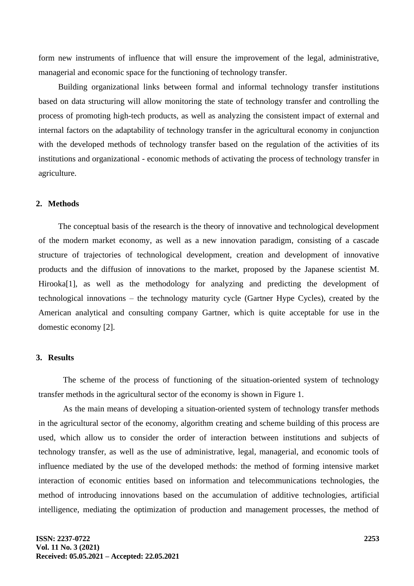form new instruments of influence that will ensure the improvement of the legal, administrative, managerial and economic space for the functioning of technology transfer.

Building organizational links between formal and informal technology transfer institutions based on data structuring will allow monitoring the state of technology transfer and controlling the process of promoting high-tech products, as well as analyzing the consistent impact of external and internal factors on the adaptability of technology transfer in the agricultural economy in conjunction with the developed methods of technology transfer based on the regulation of the activities of its institutions and organizational - economic methods of activating the process of technology transfer in agriculture.

### **2. Methods**

The conceptual basis of the research is the theory of innovative and technological development of the modern market economy, as well as a new innovation paradigm, consisting of a cascade structure of trajectories of technological development, creation and development of innovative products and the diffusion of innovations to the market, proposed by the Japanese scientist M. Hirooka<sup>[1]</sup>, as well as the methodology for analyzing and predicting the development of technological innovations – the technology maturity cycle (Gartner Hype Cycles), created by the American analytical and consulting company Gartner, which is quite acceptable for use in the domestic economy [2].

### **3. Results**

The scheme of the process of functioning of the situation-oriented system of technology transfer methods in the agricultural sector of the economy is shown in Figure 1.

As the main means of developing a situation-oriented system of technology transfer methods in the agricultural sector of the economy, algorithm creating and scheme building of this process are used, which allow us to consider the order of interaction between institutions and subjects of technology transfer, as well as the use of administrative, legal, managerial, and economic tools of influence mediated by the use of the developed methods: the method of forming intensive market interaction of economic entities based on information and telecommunications technologies, the method of introducing innovations based on the accumulation of additive technologies, artificial intelligence, mediating the optimization of production and management processes, the method of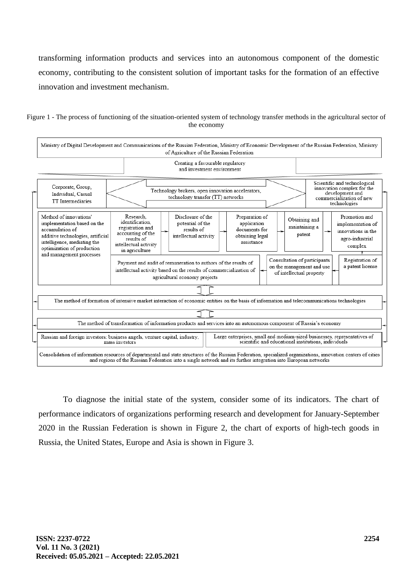transforming information products and services into an autonomous component of the domestic economy, contributing to the consistent solution of important tasks for the formation of an effective innovation and investment mechanism.

Figure 1 - The process of functioning of the situation-oriented system of technology transfer methods in the agricultural sector of the economy



To diagnose the initial state of the system, consider some of its indicators. The chart of performance indicators of organizations performing research and development for January-September 2020 in the Russian Federation is shown in Figure 2, the chart of exports of high-tech goods in Russia, the United States, Europe and Asia is shown in Figure 3.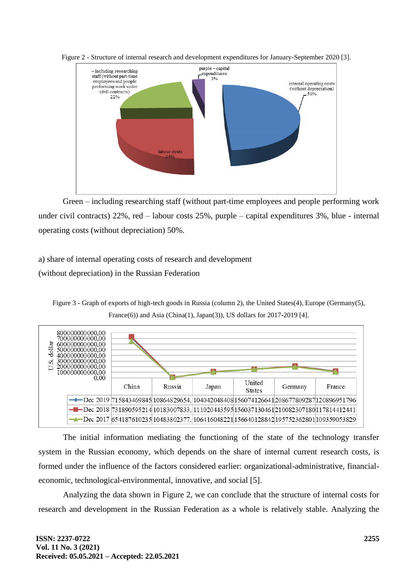

Figure 2 - Structure of internal research and development expenditures for January-September 2020 [3].

Green – including researching staff (without part-time employees and people performing work under civil contracts) 22%, red – labour costs 25%, purple – capital expenditures 3%, blue - internal operating costs (without depreciation) 50%.

# a) share of internal operating costs of research and development

(without depreciation) in the Russian Federation





The initial information mediating the functioning of the state of the technology transfer system in the Russian economy, which depends on the share of internal current research costs, is formed under the influence of the factors considered earlier: organizational-administrative, financialeconomic, technological-environmental, innovative, and social [5].

Analyzing the data shown in Figure 2, we can conclude that the structure of internal costs for research and development in the Russian Federation as a whole is relatively stable. Analyzing the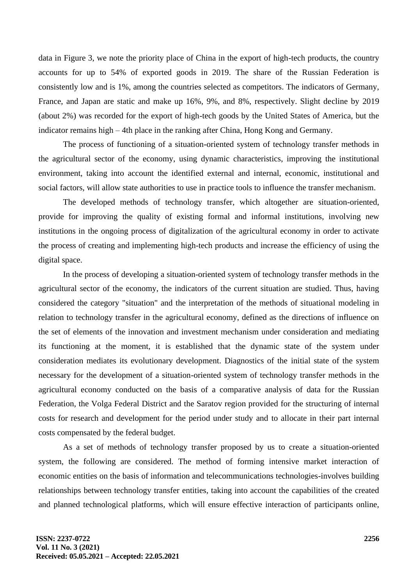data in Figure 3, we note the priority place of China in the export of high-tech products, the country accounts for up to 54% of exported goods in 2019. The share of the Russian Federation is consistently low and is 1%, among the countries selected as competitors. The indicators of Germany, France, and Japan are static and make up 16%, 9%, and 8%, respectively. Slight decline by 2019 (about 2%) was recorded for the export of high-tech goods by the United States of America, but the indicator remains high – 4th place in the ranking after China, Hong Kong and Germany.

The process of functioning of a situation-oriented system of technology transfer methods in the agricultural sector of the economy, using dynamic characteristics, improving the institutional environment, taking into account the identified external and internal, economic, institutional and social factors, will allow state authorities to use in practice tools to influence the transfer mechanism.

The developed methods of technology transfer, which altogether are situation-oriented, provide for improving the quality of existing formal and informal institutions, involving new institutions in the ongoing process of digitalization of the agricultural economy in order to activate the process of creating and implementing high-tech products and increase the efficiency of using the digital space.

In the process of developing a situation-oriented system of technology transfer methods in the agricultural sector of the economy, the indicators of the current situation are studied. Thus, having considered the category "situation" and the interpretation of the methods of situational modeling in relation to technology transfer in the agricultural economy, defined as the directions of influence on the set of elements of the innovation and investment mechanism under consideration and mediating its functioning at the moment, it is established that the dynamic state of the system under consideration mediates its evolutionary development. Diagnostics of the initial state of the system necessary for the development of a situation-oriented system of technology transfer methods in the agricultural economy conducted on the basis of a comparative analysis of data for the Russian Federation, the Volga Federal District and the Saratov region provided for the structuring of internal costs for research and development for the period under study and to allocate in their part internal costs compensated by the federal budget.

As a set of methods of technology transfer proposed by us to create a situation-oriented system, the following are considered. The method of forming intensive market interaction of economic entities on the basis of information and telecommunications technologies-involves building relationships between technology transfer entities, taking into account the capabilities of the created and planned technological platforms, which will ensure effective interaction of participants online,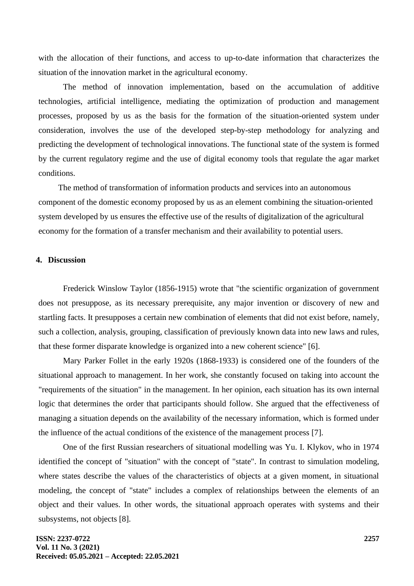with the allocation of their functions, and access to up-to-date information that characterizes the situation of the innovation market in the agricultural economy.

The method of innovation implementation, based on the accumulation of additive technologies, artificial intelligence, mediating the optimization of production and management processes, proposed by us as the basis for the formation of the situation-oriented system under consideration, involves the use of the developed step-by-step methodology for analyzing and predicting the development of technological innovations. The functional state of the system is formed by the current regulatory regime and the use of digital economy tools that regulate the agar market conditions.

The method of transformation of information products and services into an autonomous component of the domestic economy proposed by us as an element combining the situation-oriented system developed by us ensures the effective use of the results of digitalization of the agricultural economy for the formation of a transfer mechanism and their availability to potential users.

#### **4. Discussion**

Frederick Winslow Taylor (1856-1915) wrote that "the scientific organization of government does not presuppose, as its necessary prerequisite, any major invention or discovery of new and startling facts. It presupposes a certain new combination of elements that did not exist before, namely, such a collection, analysis, grouping, classification of previously known data into new laws and rules, that these former disparate knowledge is organized into a new coherent science" [6].

Mary Parker Follet in the early 1920s (1868-1933) is considered one of the founders of the situational approach to management. In her work, she constantly focused on taking into account the "requirements of the situation" in the management. In her opinion, each situation has its own internal logic that determines the order that participants should follow. She argued that the effectiveness of managing a situation depends on the availability of the necessary information, which is formed under the influence of the actual conditions of the existence of the management process [7].

One of the first Russian researchers of situational modelling was Yu. I. Klykov, who in 1974 identified the concept of "situation" with the concept of "state". In contrast to simulation modeling, where states describe the values of the characteristics of objects at a given moment, in situational modeling, the concept of "state" includes a complex of relationships between the elements of an object and their values. In other words, the situational approach operates with systems and their subsystems, not objects [8].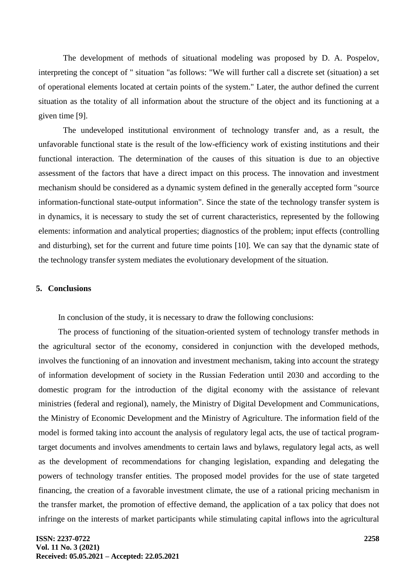The development of methods of situational modeling was proposed by D. A. Pospelov, interpreting the concept of " situation "as follows: "We will further call a discrete set (situation) a set of operational elements located at certain points of the system." Later, the author defined the current situation as the totality of all information about the structure of the object and its functioning at a given time [9].

The undeveloped institutional environment of technology transfer and, as a result, the unfavorable functional state is the result of the low-efficiency work of existing institutions and their functional interaction. The determination of the causes of this situation is due to an objective assessment of the factors that have a direct impact on this process. The innovation and investment mechanism should be considered as a dynamic system defined in the generally accepted form "source information-functional state-output information". Since the state of the technology transfer system is in dynamics, it is necessary to study the set of current characteristics, represented by the following elements: information and analytical properties; diagnostics of the problem; input effects (controlling and disturbing), set for the current and future time points [10]. We can say that the dynamic state of the technology transfer system mediates the evolutionary development of the situation.

### **5. Conclusions**

In conclusion of the study, it is necessary to draw the following conclusions:

The process of functioning of the situation-oriented system of technology transfer methods in the agricultural sector of the economy, considered in conjunction with the developed methods, involves the functioning of an innovation and investment mechanism, taking into account the strategy of information development of society in the Russian Federation until 2030 and according to the domestic program for the introduction of the digital economy with the assistance of relevant ministries (federal and regional), namely, the Ministry of Digital Development and Communications, the Ministry of Economic Development and the Ministry of Agriculture. The information field of the model is formed taking into account the analysis of regulatory legal acts, the use of tactical programtarget documents and involves amendments to certain laws and bylaws, regulatory legal acts, as well as the development of recommendations for changing legislation, expanding and delegating the powers of technology transfer entities. The proposed model provides for the use of state targeted financing, the creation of a favorable investment climate, the use of a rational pricing mechanism in the transfer market, the promotion of effective demand, the application of a tax policy that does not infringe on the interests of market participants while stimulating capital inflows into the agricultural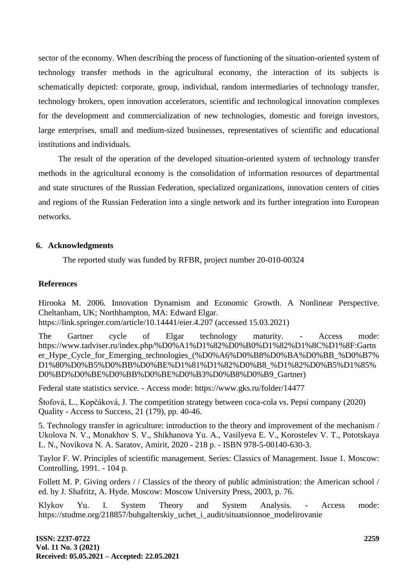sector of the economy. When describing the process of functioning of the situation-oriented system of technology transfer methods in the agricultural economy, the interaction of its subjects is schematically depicted: corporate, group, individual, random intermediaries of technology transfer, technology brokers, open innovation accelerators, scientific and technological innovation complexes for the development and commercialization of new technologies, domestic and foreign investors, large enterprises, small and medium-sized businesses, representatives of scientific and educational institutions and individuals.

The result of the operation of the developed situation-oriented system of technology transfer methods in the agricultural economy is the consolidation of information resources of departmental and state structures of the Russian Federation, specialized organizations, innovation centers of cities and regions of the Russian Federation into a single network and its further integration into European networks.

### **6. Acknowledgments**

The reported study was funded by RFBR, project number 20-010-00324

### **References**

Hirooka M. 2006. Innovation Dynamism and Economic Growth. A Nonlinear Perspective. Cheltanham, UK; Northhampton, MA: Edward Elgar.

https://link.springer.com/article/10.14441/eier.4.207 (accessed 15.03.2021)

The Gartner cycle of Elgar technology maturity. - Access mode: https://www.tadviser.ru/index.php/%D0%A1%D1%82%D0%B0%D1%82%D1%8C%D1%8F:Gartn er\_Hype\_Cycle\_for\_Emerging\_technologies\_(%D0%A6%D0%B8%D0%BA%D0%BB\_%D0%B7% D1%80%D0%B5%D0%BB%D0%BE%D1%81%D1%82%D0%B8\_%D1%82%D0%B5%D1%85% D0%BD%D0%BE%D0%BB%D0%BE%D0%B3%D0%B8%D0%B9\_Gartner)

Federal state statistics service. - Access mode: https://www.gks.ru/folder/14477

Štofová, L., Kopčáková, J. The competition strategy between coca-cola vs. Pepsi company (2020) Quality - Access to Success, 21 (179), pp. 40-46.

5. Technology transfer in agriculture: introduction to the theory and improvement of the mechanism / Ukolova N. V., Monakhov S. V., Shikhanova Yu. A., Vasilyeva E. V., Korostelev V. T., Pototskaya L. N., Novikova N. A. Saratov, Amirit, 2020 - 218 p. - ISBN 978-5-00140-630-3.

Taylor F. W. Principles of scientific management. Series: Classics of Management. Issue 1. Moscow: Controlling, 1991. - 104 p.

Follett M. P. Giving orders // Classics of the theory of public administration: the American school / ed. by J. Shafritz, A. Hyde. Moscow: Moscow University Press, 2003, p. 76.

Klykov Yu. I. System Theory and System Analysis. - Access mode: https://studme.org/218857/buhgalterskiy\_uchet\_i\_audit/situatsionnoe\_modelirovanie